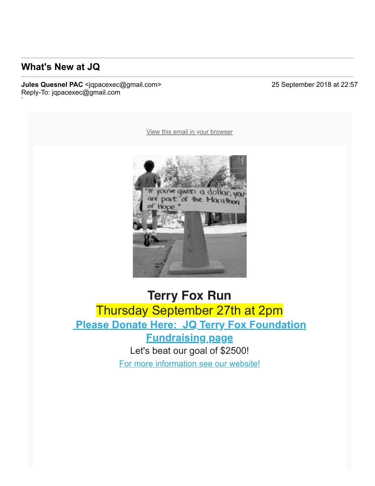#### **What's New at JQ**

To: luvanvo@gmail.com

#### **Jules Quesnel PAC** <jqpacexec@gmail.com> 25 September 2018 at 22:57 Reply-To: jqpacexec@gmail.com

[View this email in your browser](https://mailchi.mp/99fc5e9db6ed/whats-new-at-jq?e=a76be064ee)



#### **Terry Fox Run** Thursday September 27th at 2pm  **[Please Donate Here: JQ Terry Fox Foundation](https://julesquesnelpac.us3.list-manage.com/track/click?u=a8e7c9494cc165c2c2cca7d75&id=0b54bf6946&e=a76be064ee) Fundraising page** Let's beat our goal of \$2500! [For more information see our website!](https://julesquesnelpac.us3.list-manage.com/track/click?u=a8e7c9494cc165c2c2cca7d75&id=a44674ea62&e=a76be064ee)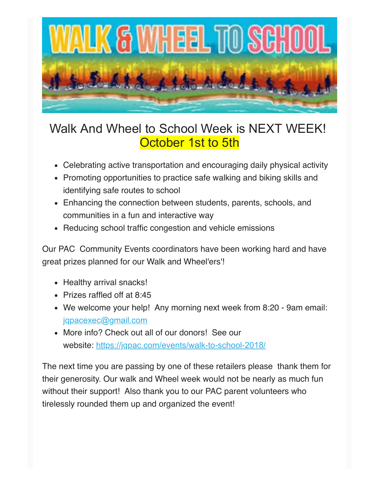

# Walk And Wheel to School Week is NEXT WEEK! **October 1st to 5th**

- Celebrating active transportation and encouraging daily physical activity
- Promoting opportunities to practice safe walking and biking skills and identifying safe routes to school
- Enhancing the connection between students, parents, schools, and communities in a fun and interactive way
- Reducing school traffic congestion and vehicle emissions

Our PAC Community Events coordinators have been working hard and have great prizes planned for our Walk and Wheel'ers'!

- Healthy arrival snacks!
- Prizes raffled off at 8:45
- We welcome your help! Any morning next week from 8:20 9am email: [jqpacexec@gmail.com](https://julesquesnelpac.us3.list-manage.com/track/click?u=a8e7c9494cc165c2c2cca7d75&id=c6b86dd0ca&e=a76be064ee)
- More info? Check out all of our donors! See our website: https://jgpac.com/events/walk-to-school-2018/

The next time you are passing by one of these retailers please thank them for their generosity. Our walk and Wheel week would not be nearly as much fun without their support! Also thank you to our PAC parent volunteers who tirelessly rounded them up and organized the event!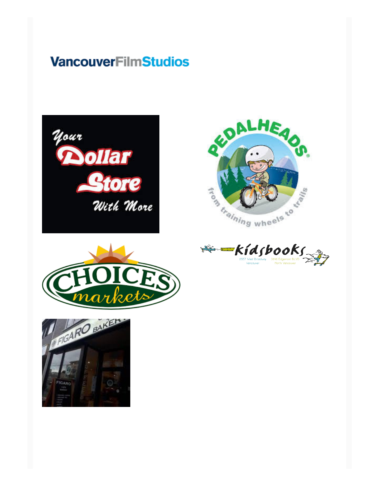# **VancouverFilmStudios**









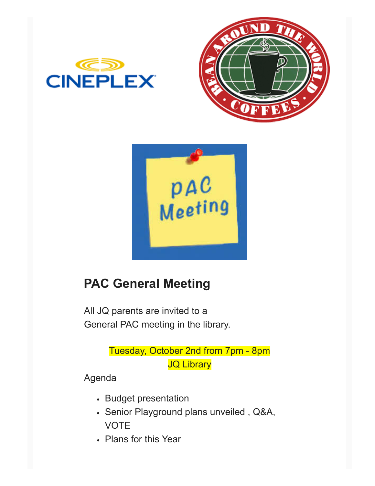





# **PAC General Meeting**

All JQ parents are invited to a General PAC meeting in the library.

> Tuesday, October 2nd from 7pm - 8pm **JQ Library**

Agenda

- Budget presentation
- Senior Playground plans unveiled , Q&A, VOTE
- Plans for this Year